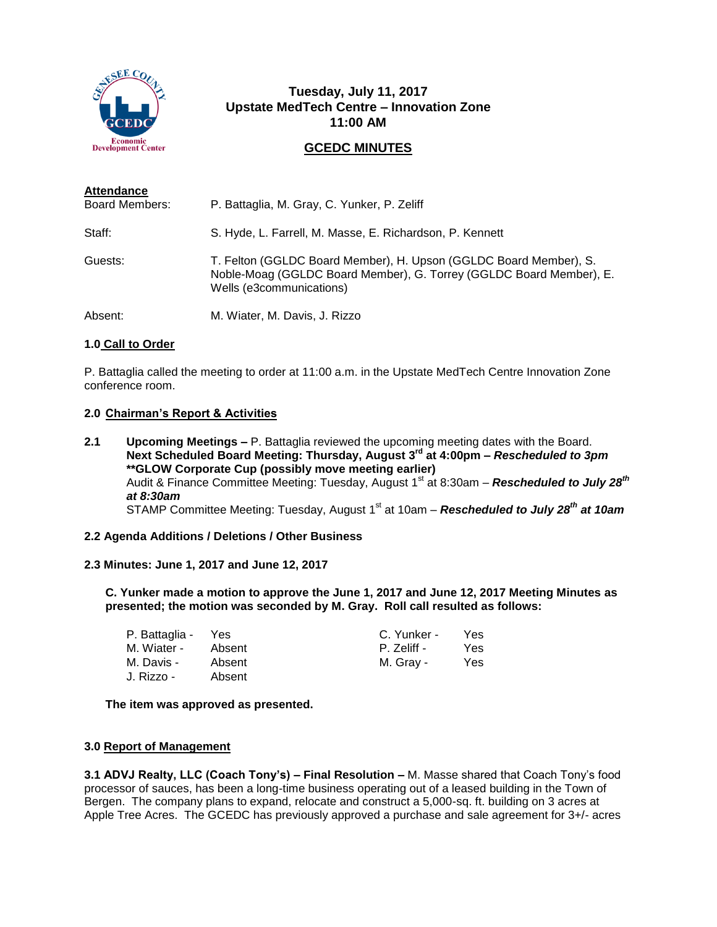

# **Tuesday, July 11, 2017 Upstate MedTech Centre – Innovation Zone 11:00 AM**

# **GCEDC MINUTES**

| <b>Attendance</b>     |                                                                                                                                                                      |
|-----------------------|----------------------------------------------------------------------------------------------------------------------------------------------------------------------|
| <b>Board Members:</b> | P. Battaglia, M. Gray, C. Yunker, P. Zeliff                                                                                                                          |
| Staff:                | S. Hyde, L. Farrell, M. Masse, E. Richardson, P. Kennett                                                                                                             |
| Guests:               | T. Felton (GGLDC Board Member), H. Upson (GGLDC Board Member), S.<br>Noble-Moag (GGLDC Board Member), G. Torrey (GGLDC Board Member), E.<br>Wells (e3communications) |
| Absent:               | M. Wiater, M. Davis, J. Rizzo                                                                                                                                        |

# **1.0 Call to Order**

P. Battaglia called the meeting to order at 11:00 a.m. in the Upstate MedTech Centre Innovation Zone conference room.

#### **2.0 Chairman's Report & Activities**

**2.1 Upcoming Meetings –** P. Battaglia reviewed the upcoming meeting dates with the Board. **Next Scheduled Board Meeting: Thursday, August 3rd at 4:00pm –** *Rescheduled to 3pm* **\*\*GLOW Corporate Cup (possibly move meeting earlier)** Audit & Finance Committee Meeting: Tuesday, August 1<sup>st</sup> at 8:30am - Rescheduled to July 28<sup>th</sup> *at 8:30am* STAMP Committee Meeting: Tuesday, August 1<sup>st</sup> at 10am – **Rescheduled to July 28<sup>th</sup> at 10am** 

#### **2.2 Agenda Additions / Deletions / Other Business**

#### **2.3 Minutes: June 1, 2017 and June 12, 2017**

**C. Yunker made a motion to approve the June 1, 2017 and June 12, 2017 Meeting Minutes as presented; the motion was seconded by M. Gray. Roll call resulted as follows:**

| P. Battaglia -      | Yes    | C. Yunker - | Yes |
|---------------------|--------|-------------|-----|
| M. Wiater -         | Absent | P. Zeliff - | Yes |
| M. Davis -          | Absent | M. Gray -   | Yes |
| <u> J. Rizzo - </u> | Absent |             |     |

#### **The item was approved as presented.**

# **3.0 Report of Management**

**3.1 ADVJ Realty, LLC (Coach Tony's) – Final Resolution –** M. Masse shared that Coach Tony's food processor of sauces, has been a long-time business operating out of a leased building in the Town of Bergen. The company plans to expand, relocate and construct a 5,000-sq. ft. building on 3 acres at Apple Tree Acres. The GCEDC has previously approved a purchase and sale agreement for 3+/- acres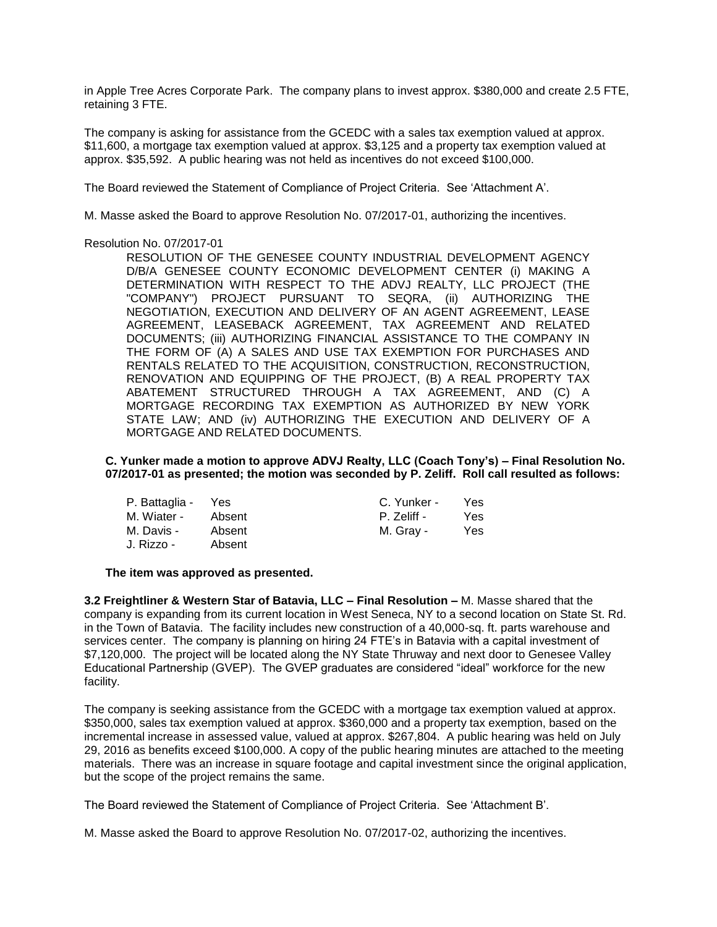in Apple Tree Acres Corporate Park. The company plans to invest approx. \$380,000 and create 2.5 FTE, retaining 3 FTE.

The company is asking for assistance from the GCEDC with a sales tax exemption valued at approx. \$11,600, a mortgage tax exemption valued at approx. \$3,125 and a property tax exemption valued at approx. \$35,592. A public hearing was not held as incentives do not exceed \$100,000.

The Board reviewed the Statement of Compliance of Project Criteria. See 'Attachment A'.

M. Masse asked the Board to approve Resolution No. 07/2017-01, authorizing the incentives.

#### Resolution No. 07/2017-01

RESOLUTION OF THE GENESEE COUNTY INDUSTRIAL DEVELOPMENT AGENCY D/B/A GENESEE COUNTY ECONOMIC DEVELOPMENT CENTER (i) MAKING A DETERMINATION WITH RESPECT TO THE ADVJ REALTY, LLC PROJECT (THE "COMPANY") PROJECT PURSUANT TO SEQRA, (ii) AUTHORIZING THE NEGOTIATION, EXECUTION AND DELIVERY OF AN AGENT AGREEMENT, LEASE AGREEMENT, LEASEBACK AGREEMENT, TAX AGREEMENT AND RELATED DOCUMENTS; (iii) AUTHORIZING FINANCIAL ASSISTANCE TO THE COMPANY IN THE FORM OF (A) A SALES AND USE TAX EXEMPTION FOR PURCHASES AND RENTALS RELATED TO THE ACQUISITION, CONSTRUCTION, RECONSTRUCTION, RENOVATION AND EQUIPPING OF THE PROJECT, (B) A REAL PROPERTY TAX ABATEMENT STRUCTURED THROUGH A TAX AGREEMENT, AND (C) A MORTGAGE RECORDING TAX EXEMPTION AS AUTHORIZED BY NEW YORK STATE LAW; AND (iv) AUTHORIZING THE EXECUTION AND DELIVERY OF A MORTGAGE AND RELATED DOCUMENTS.

**C. Yunker made a motion to approve ADVJ Realty, LLC (Coach Tony's) – Final Resolution No. 07/2017-01 as presented; the motion was seconded by P. Zeliff. Roll call resulted as follows:**

| P. Battaglia - | Yes    | C. Yunker - | Yes |
|----------------|--------|-------------|-----|
| M. Wiater -    | Absent | P. Zeliff - | Yes |
| M. Davis -     | Absent | M. Gray -   | Yes |
| J. Rizzo -     | Absent |             |     |

#### **The item was approved as presented.**

**3.2 Freightliner & Western Star of Batavia, LLC – Final Resolution –** M. Masse shared that the company is expanding from its current location in West Seneca, NY to a second location on State St. Rd. in the Town of Batavia. The facility includes new construction of a 40,000-sq. ft. parts warehouse and services center. The company is planning on hiring 24 FTE's in Batavia with a capital investment of \$7,120,000. The project will be located along the NY State Thruway and next door to Genesee Valley Educational Partnership (GVEP). The GVEP graduates are considered "ideal" workforce for the new facility.

The company is seeking assistance from the GCEDC with a mortgage tax exemption valued at approx. \$350,000, sales tax exemption valued at approx. \$360,000 and a property tax exemption, based on the incremental increase in assessed value, valued at approx. \$267,804. A public hearing was held on July 29, 2016 as benefits exceed \$100,000. A copy of the public hearing minutes are attached to the meeting materials. There was an increase in square footage and capital investment since the original application, but the scope of the project remains the same.

The Board reviewed the Statement of Compliance of Project Criteria. See 'Attachment B'.

M. Masse asked the Board to approve Resolution No. 07/2017-02, authorizing the incentives.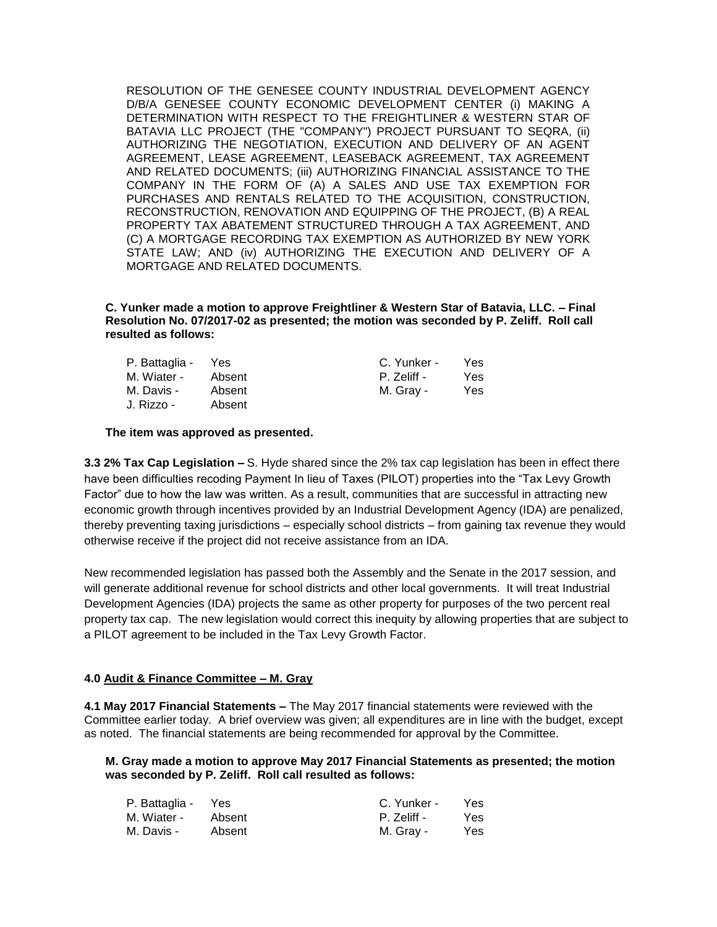RESOLUTION OF THE GENESEE COUNTY INDUSTRIAL DEVELOPMENT AGENCY D/B/A GENESEE COUNTY ECONOMIC DEVELOPMENT CENTER (i) MAKING A DETERMINATION WITH RESPECT TO THE FREIGHTLINER & WESTERN STAR OF BATAVIA LLC PROJECT (THE "COMPANY") PROJECT PURSUANT TO SEQRA, (ii) AUTHORIZING THE NEGOTIATION, EXECUTION AND DELIVERY OF AN AGENT AGREEMENT, LEASE AGREEMENT, LEASEBACK AGREEMENT, TAX AGREEMENT AND RELATED DOCUMENTS; (iii) AUTHORIZING FINANCIAL ASSISTANCE TO THE COMPANY IN THE FORM OF (A) A SALES AND USE TAX EXEMPTION FOR PURCHASES AND RENTALS RELATED TO THE ACQUISITION, CONSTRUCTION, RECONSTRUCTION, RENOVATION AND EQUIPPING OF THE PROJECT, (B) A REAL PROPERTY TAX ABATEMENT STRUCTURED THROUGH A TAX AGREEMENT, AND (C) A MORTGAGE RECORDING TAX EXEMPTION AS AUTHORIZED BY NEW YORK STATE LAW; AND (iv) AUTHORIZING THE EXECUTION AND DELIVERY OF A MORTGAGE AND RELATED DOCUMENTS.

**C. Yunker made a motion to approve Freightliner & Western Star of Batavia, LLC. – Final Resolution No. 07/2017-02 as presented; the motion was seconded by P. Zeliff. Roll call resulted as follows:**

| P. Battaglia - | Yes    | C. Yunker - | Yes |
|----------------|--------|-------------|-----|
| M. Wiater -    | Absent | P. Zeliff - | Yes |
| M. Davis -     | Absent | M. Gray -   | Yes |
| J. Rizzo -     | Absent |             |     |

#### **The item was approved as presented.**

**3.3 2% Tax Cap Legislation –** S. Hyde shared since the 2% tax cap legislation has been in effect there have been difficulties recoding Payment In lieu of Taxes (PILOT) properties into the "Tax Levy Growth Factor" due to how the law was written. As a result, communities that are successful in attracting new economic growth through incentives provided by an Industrial Development Agency (IDA) are penalized, thereby preventing taxing jurisdictions – especially school districts – from gaining tax revenue they would otherwise receive if the project did not receive assistance from an IDA.

New recommended legislation has passed both the Assembly and the Senate in the 2017 session, and will generate additional revenue for school districts and other local governments. It will treat Industrial Development Agencies (IDA) projects the same as other property for purposes of the two percent real property tax cap. The new legislation would correct this inequity by allowing properties that are subject to a PILOT agreement to be included in the Tax Levy Growth Factor.

# **4.0 Audit & Finance Committee – M. Gray**

**4.1 May 2017 Financial Statements –** The May 2017 financial statements were reviewed with the Committee earlier today. A brief overview was given; all expenditures are in line with the budget, except as noted. The financial statements are being recommended for approval by the Committee.

#### **M. Gray made a motion to approve May 2017 Financial Statements as presented; the motion was seconded by P. Zeliff. Roll call resulted as follows:**

| P. Battaglia - Yes |        | C. Yunker - | Yes. |
|--------------------|--------|-------------|------|
| M. Wiater -        | Absent | P. Zeliff - | Yes. |
| M. Davis -         | Absent | M. Gray -   | Yes. |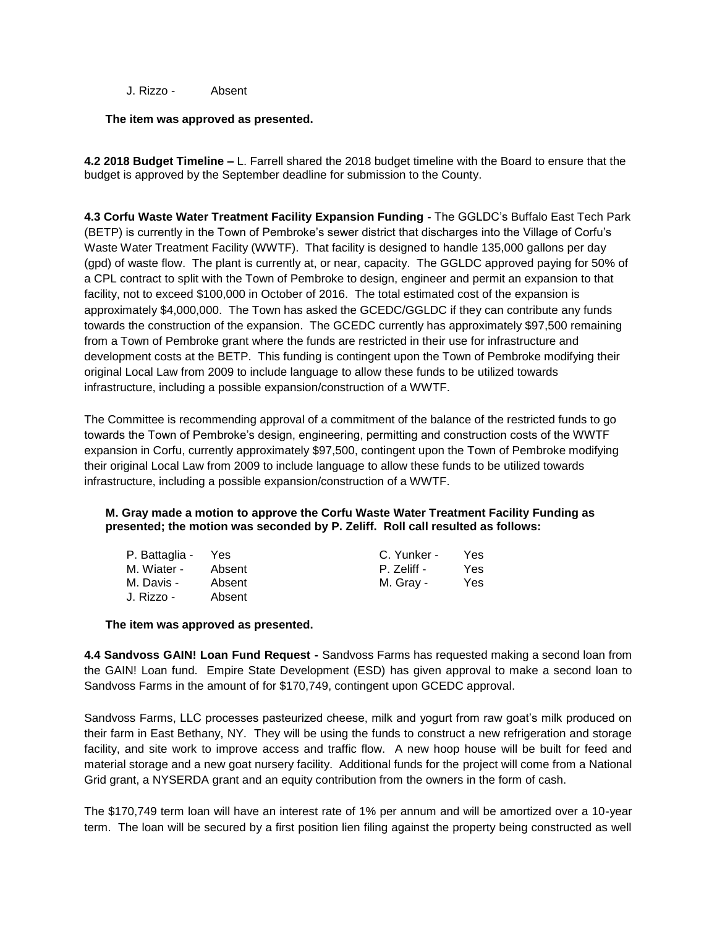J. Rizzo - Absent

#### **The item was approved as presented.**

**4.2 2018 Budget Timeline –** L. Farrell shared the 2018 budget timeline with the Board to ensure that the budget is approved by the September deadline for submission to the County.

**4.3 Corfu Waste Water Treatment Facility Expansion Funding -** The GGLDC's Buffalo East Tech Park (BETP) is currently in the Town of Pembroke's sewer district that discharges into the Village of Corfu's Waste Water Treatment Facility (WWTF). That facility is designed to handle 135,000 gallons per day (gpd) of waste flow. The plant is currently at, or near, capacity. The GGLDC approved paying for 50% of a CPL contract to split with the Town of Pembroke to design, engineer and permit an expansion to that facility, not to exceed \$100,000 in October of 2016. The total estimated cost of the expansion is approximately \$4,000,000. The Town has asked the GCEDC/GGLDC if they can contribute any funds towards the construction of the expansion. The GCEDC currently has approximately \$97,500 remaining from a Town of Pembroke grant where the funds are restricted in their use for infrastructure and development costs at the BETP. This funding is contingent upon the Town of Pembroke modifying their original Local Law from 2009 to include language to allow these funds to be utilized towards infrastructure, including a possible expansion/construction of a WWTF.

The Committee is recommending approval of a commitment of the balance of the restricted funds to go towards the Town of Pembroke's design, engineering, permitting and construction costs of the WWTF expansion in Corfu, currently approximately \$97,500, contingent upon the Town of Pembroke modifying their original Local Law from 2009 to include language to allow these funds to be utilized towards infrastructure, including a possible expansion/construction of a WWTF.

# **M. Gray made a motion to approve the Corfu Waste Water Treatment Facility Funding as presented; the motion was seconded by P. Zeliff. Roll call resulted as follows:**

| P. Battaglia - Yes |        | C. Yunker - | Yes. |
|--------------------|--------|-------------|------|
| M. Wiater -        | Absent | P. Zeliff - | Yes. |
| M. Davis -         | Absent | M. Gray -   | Yes. |
| J. Rizzo -         | Absent |             |      |

**The item was approved as presented.**

**4.4 Sandvoss GAIN! Loan Fund Request -** Sandvoss Farms has requested making a second loan from the GAIN! Loan fund. Empire State Development (ESD) has given approval to make a second loan to Sandvoss Farms in the amount of for \$170,749, contingent upon GCEDC approval.

Sandvoss Farms, LLC processes pasteurized cheese, milk and yogurt from raw goat's milk produced on their farm in East Bethany, NY. They will be using the funds to construct a new refrigeration and storage facility, and site work to improve access and traffic flow. A new hoop house will be built for feed and material storage and a new goat nursery facility. Additional funds for the project will come from a National Grid grant, a NYSERDA grant and an equity contribution from the owners in the form of cash.

The \$170,749 term loan will have an interest rate of 1% per annum and will be amortized over a 10-year term. The loan will be secured by a first position lien filing against the property being constructed as well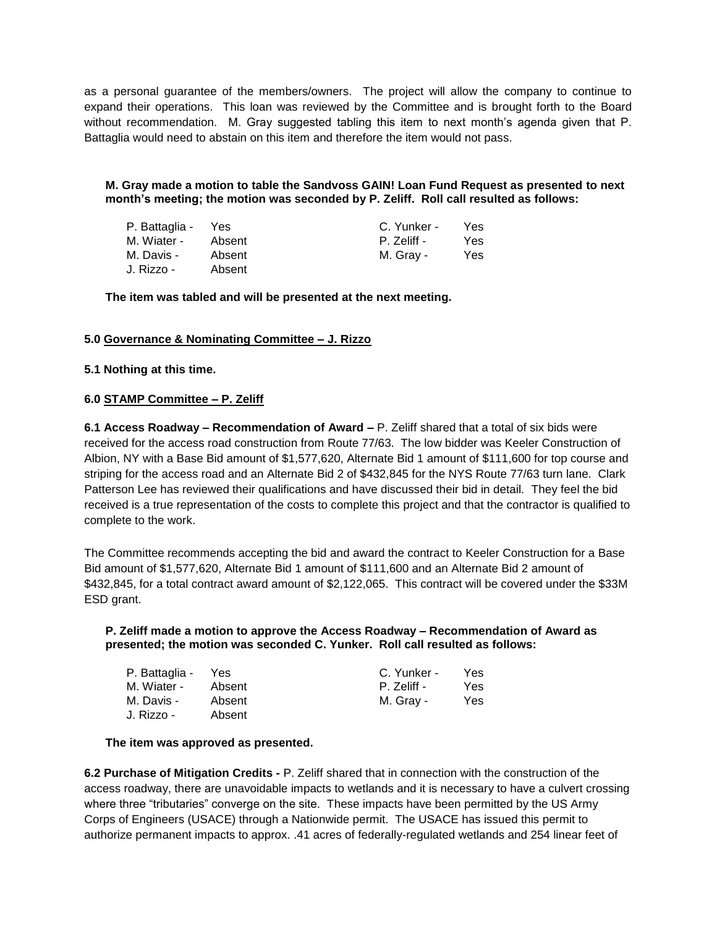as a personal guarantee of the members/owners. The project will allow the company to continue to expand their operations. This loan was reviewed by the Committee and is brought forth to the Board without recommendation. M. Gray suggested tabling this item to next month's agenda given that P. Battaglia would need to abstain on this item and therefore the item would not pass.

**M. Gray made a motion to table the Sandvoss GAIN! Loan Fund Request as presented to next month's meeting; the motion was seconded by P. Zeliff. Roll call resulted as follows:**

| P. Battaglia - | Yes    | C. Yunker - | Yes  |
|----------------|--------|-------------|------|
| M. Wiater -    | Absent | P. Zeliff - | Yes. |
| M. Davis -     | Absent | M. Gray -   | Yes  |
| J. Rizzo -     | Absent |             |      |

**The item was tabled and will be presented at the next meeting.**

# **5.0 Governance & Nominating Committee – J. Rizzo**

# **5.1 Nothing at this time.**

# **6.0 STAMP Committee – P. Zeliff**

**6.1 Access Roadway – Recommendation of Award –** P. Zeliff shared that a total of six bids were received for the access road construction from Route 77/63. The low bidder was Keeler Construction of Albion, NY with a Base Bid amount of \$1,577,620, Alternate Bid 1 amount of \$111,600 for top course and striping for the access road and an Alternate Bid 2 of \$432,845 for the NYS Route 77/63 turn lane. Clark Patterson Lee has reviewed their qualifications and have discussed their bid in detail. They feel the bid received is a true representation of the costs to complete this project and that the contractor is qualified to complete to the work.

The Committee recommends accepting the bid and award the contract to Keeler Construction for a Base Bid amount of \$1,577,620, Alternate Bid 1 amount of \$111,600 and an Alternate Bid 2 amount of \$432,845, for a total contract award amount of \$2,122,065. This contract will be covered under the \$33M ESD grant.

#### **P. Zeliff made a motion to approve the Access Roadway – Recommendation of Award as presented; the motion was seconded C. Yunker. Roll call resulted as follows:**

| P. Battaglia - | Yes    | C. Yunker - | Yes |
|----------------|--------|-------------|-----|
| M. Wiater -    | Absent | P. Zeliff - | Yes |
| M. Davis -     | Absent | M. Gray -   | Yes |
| J. Rizzo -     | Absent |             |     |

#### **The item was approved as presented.**

**6.2 Purchase of Mitigation Credits -** P. Zeliff shared that in connection with the construction of the access roadway, there are unavoidable impacts to wetlands and it is necessary to have a culvert crossing where three "tributaries" converge on the site. These impacts have been permitted by the US Army Corps of Engineers (USACE) through a Nationwide permit. The USACE has issued this permit to authorize permanent impacts to approx. .41 acres of federally-regulated wetlands and 254 linear feet of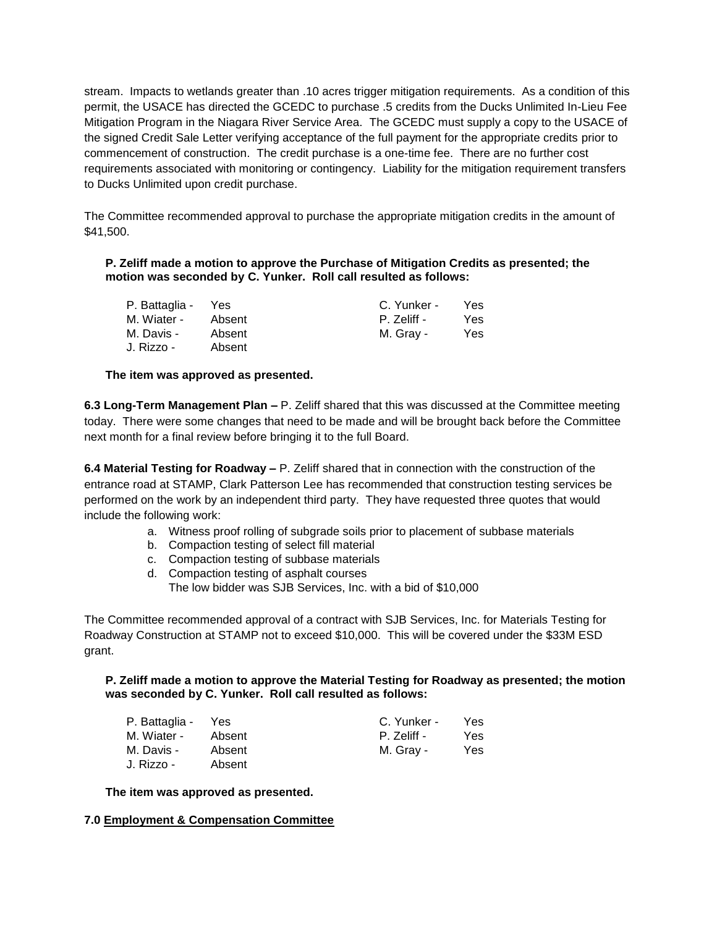stream. Impacts to wetlands greater than .10 acres trigger mitigation requirements. As a condition of this permit, the USACE has directed the GCEDC to purchase .5 credits from the Ducks Unlimited In-Lieu Fee Mitigation Program in the Niagara River Service Area. The GCEDC must supply a copy to the USACE of the signed Credit Sale Letter verifying acceptance of the full payment for the appropriate credits prior to commencement of construction. The credit purchase is a one-time fee. There are no further cost requirements associated with monitoring or contingency. Liability for the mitigation requirement transfers to Ducks Unlimited upon credit purchase.

The Committee recommended approval to purchase the appropriate mitigation credits in the amount of \$41,500.

## **P. Zeliff made a motion to approve the Purchase of Mitigation Credits as presented; the motion was seconded by C. Yunker. Roll call resulted as follows:**

| P. Battaglia - | Yes    | C. Yunker - | Yes. |
|----------------|--------|-------------|------|
| M. Wiater -    | Absent | P. Zeliff - | Yes. |
| M. Davis -     | Absent | M. Gray -   | Yes  |
| J. Rizzo -     | Absent |             |      |

# **The item was approved as presented.**

**6.3 Long-Term Management Plan –** P. Zeliff shared that this was discussed at the Committee meeting today. There were some changes that need to be made and will be brought back before the Committee next month for a final review before bringing it to the full Board.

**6.4 Material Testing for Roadway –** P. Zeliff shared that in connection with the construction of the entrance road at STAMP, Clark Patterson Lee has recommended that construction testing services be performed on the work by an independent third party. They have requested three quotes that would include the following work:

- a. Witness proof rolling of subgrade soils prior to placement of subbase materials
- b. Compaction testing of select fill material
- c. Compaction testing of subbase materials
- d. Compaction testing of asphalt courses
	- The low bidder was SJB Services, Inc. with a bid of \$10,000

The Committee recommended approval of a contract with SJB Services, Inc. for Materials Testing for Roadway Construction at STAMP not to exceed \$10,000. This will be covered under the \$33M ESD grant.

#### **P. Zeliff made a motion to approve the Material Testing for Roadway as presented; the motion was seconded by C. Yunker. Roll call resulted as follows:**

| P. Battaglia - | Yes    | C. Yunker - | Yes. |
|----------------|--------|-------------|------|
| M. Wiater -    | Absent | P. Zeliff - | Yes. |
| M. Davis -     | Absent | M. Gray -   | Yes. |
| J. Rizzo -     | Absent |             |      |

**The item was approved as presented.**

#### **7.0 Employment & Compensation Committee**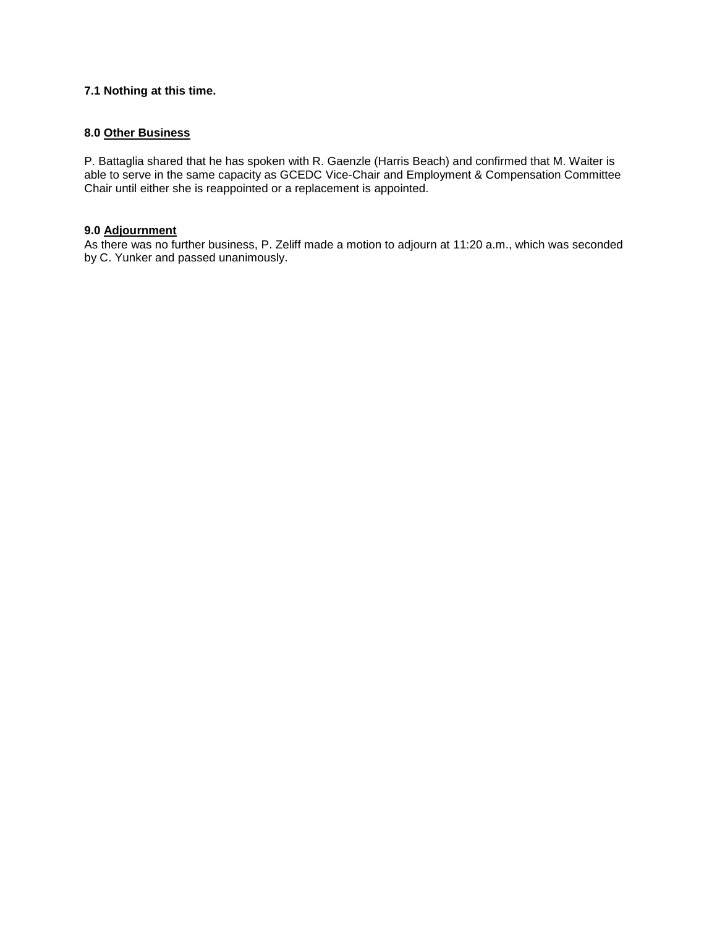# **7.1 Nothing at this time.**

# **8.0 Other Business**

P. Battaglia shared that he has spoken with R. Gaenzle (Harris Beach) and confirmed that M. Waiter is able to serve in the same capacity as GCEDC Vice-Chair and Employment & Compensation Committee Chair until either she is reappointed or a replacement is appointed.

#### **9.0 Adjournment**

As there was no further business, P. Zeliff made a motion to adjourn at 11:20 a.m., which was seconded by C. Yunker and passed unanimously.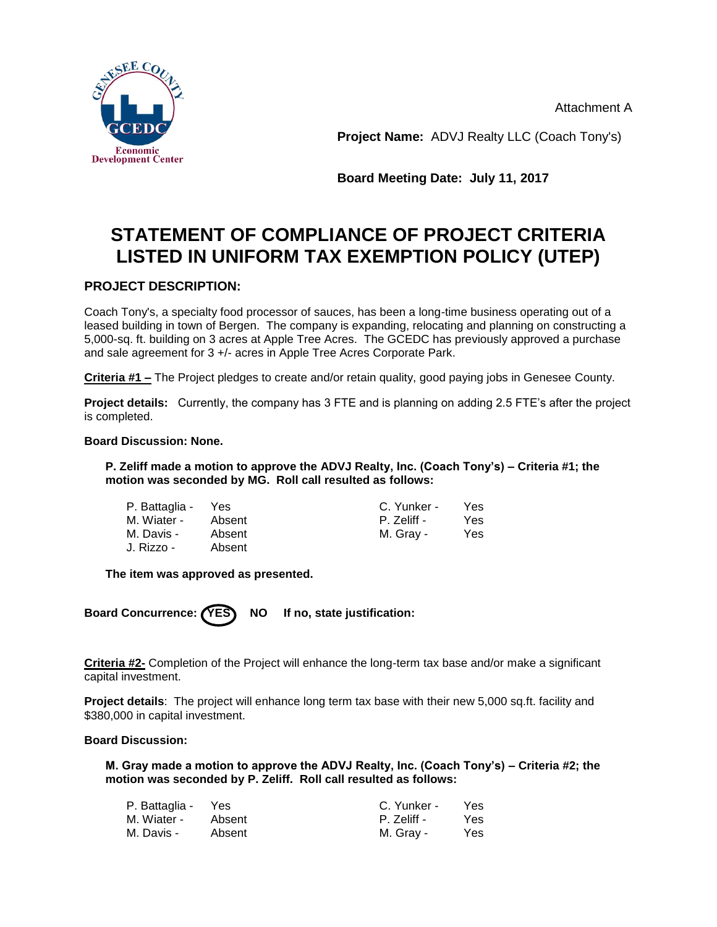Attachment A



**Project Name:** ADVJ Realty LLC (Coach Tony's)

**Board Meeting Date: July 11, 2017**

# **STATEMENT OF COMPLIANCE OF PROJECT CRITERIA LISTED IN UNIFORM TAX EXEMPTION POLICY (UTEP)**

# **PROJECT DESCRIPTION:**

Coach Tony's, a specialty food processor of sauces, has been a long-time business operating out of a leased building in town of Bergen. The company is expanding, relocating and planning on constructing a 5,000-sq. ft. building on 3 acres at Apple Tree Acres. The GCEDC has previously approved a purchase and sale agreement for 3 +/- acres in Apple Tree Acres Corporate Park.

**Criteria #1 –** The Project pledges to create and/or retain quality, good paying jobs in Genesee County.

**Project details:** Currently, the company has 3 FTE and is planning on adding 2.5 FTE's after the project is completed.

# **Board Discussion: None.**

**P. Zeliff made a motion to approve the ADVJ Realty, Inc. (Coach Tony's) – Criteria #1; the motion was seconded by MG. Roll call resulted as follows:**

| P. Battaglia - | Yes    | C. Yunker - | Yes |
|----------------|--------|-------------|-----|
| M. Wiater -    | Absent | P. Zeliff - | Yes |
| M. Davis -     | Absent | M. Gray -   | Yes |
| J. Rizzo -     | Absent |             |     |

**The item was approved as presented.**

Board Concurrence: (YES) NO If no, state justification:

**Criteria #2-** Completion of the Project will enhance the long-term tax base and/or make a significant capital investment.

**Project details**: The project will enhance long term tax base with their new 5,000 sq.ft. facility and \$380,000 in capital investment.

## **Board Discussion:**

**M. Gray made a motion to approve the ADVJ Realty, Inc. (Coach Tony's) – Criteria #2; the motion was seconded by P. Zeliff. Roll call resulted as follows:**

| P. Battaglia - | Yes    | C. Yunker - | Yes. |
|----------------|--------|-------------|------|
| M. Wiater -    | Absent | P. Zeliff - | Yes. |
| M. Davis -     | Absent | M. Gray -   | Yes  |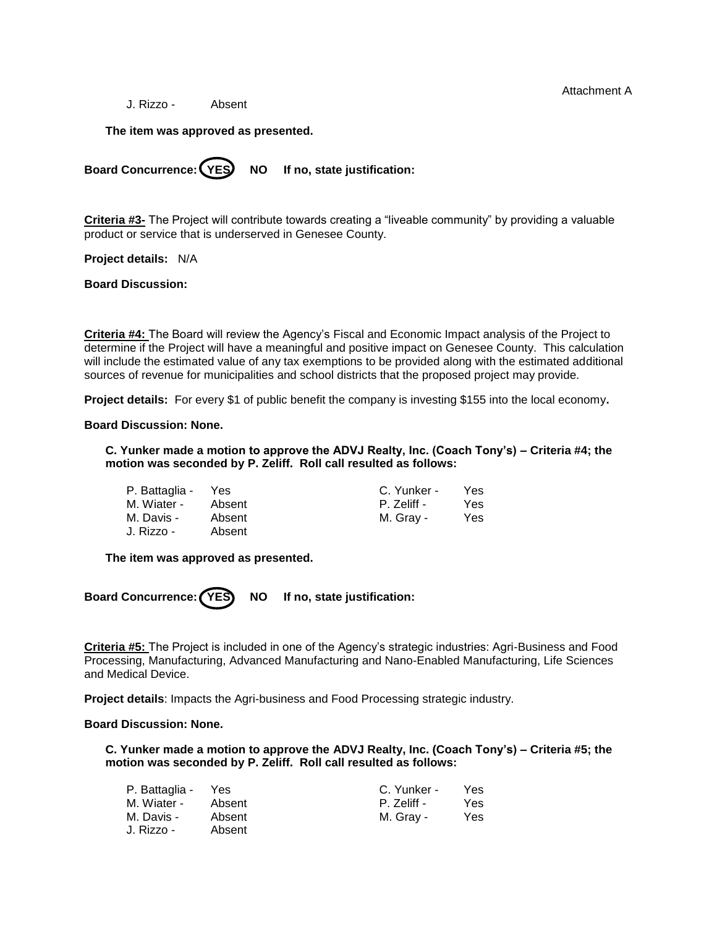Attachment A

J. Rizzo - Absent

**The item was approved as presented.**

Board Concurrence: (YES) NO If no, state justification:

**Criteria #3-** The Project will contribute towards creating a "liveable community" by providing a valuable product or service that is underserved in Genesee County.

**Project details:** N/A

**Board Discussion:**

**Criteria #4:** The Board will review the Agency's Fiscal and Economic Impact analysis of the Project to determine if the Project will have a meaningful and positive impact on Genesee County. This calculation will include the estimated value of any tax exemptions to be provided along with the estimated additional sources of revenue for municipalities and school districts that the proposed project may provide.

**Project details:** For every \$1 of public benefit the company is investing \$155 into the local economy**.**

#### **Board Discussion: None.**

**C. Yunker made a motion to approve the ADVJ Realty, Inc. (Coach Tony's) – Criteria #4; the motion was seconded by P. Zeliff. Roll call resulted as follows:**

| P. Battaglia - | Yes    | C. Yunker - | Yes |
|----------------|--------|-------------|-----|
| M. Wiater -    | Absent | P. Zeliff - | Yes |
| M. Davis -     | Absent | M. Gray -   | Yes |
| J. Rizzo -     | Absent |             |     |

**The item was approved as presented.**

Board Concurrence: (YES) NO If no, state justification:

**Criteria #5:** The Project is included in one of the Agency's strategic industries: Agri-Business and Food Processing, Manufacturing, Advanced Manufacturing and Nano-Enabled Manufacturing, Life Sciences and Medical Device.

**Project details**: Impacts the Agri-business and Food Processing strategic industry.

#### **Board Discussion: None.**

**C. Yunker made a motion to approve the ADVJ Realty, Inc. (Coach Tony's) – Criteria #5; the motion was seconded by P. Zeliff. Roll call resulted as follows:**

| P. Battaglia - | Yes    | C. Yunker - | Yes |
|----------------|--------|-------------|-----|
| M. Wiater -    | Absent | P. Zeliff - | Yes |
| M. Davis -     | Absent | M. Gray -   | Yes |
| J. Rizzo -     | Absent |             |     |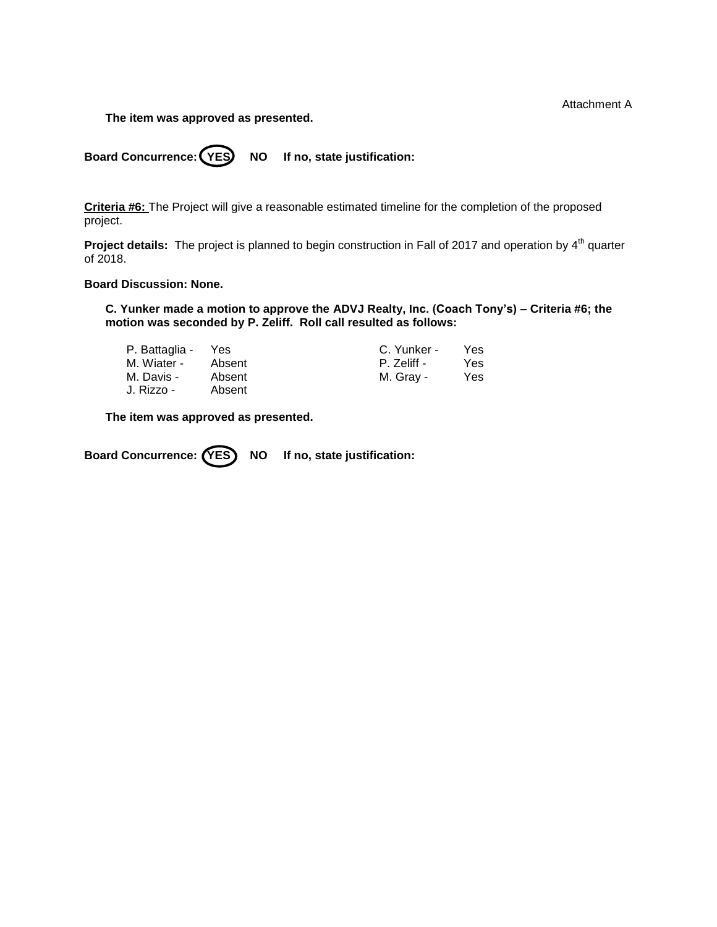Attachment A

**The item was approved as presented.**

Board Concurrence: (YES) NO If no, state justification:

**Criteria #6:** The Project will give a reasonable estimated timeline for the completion of the proposed project.

**Project details:** The project is planned to begin construction in Fall of 2017 and operation by 4<sup>th</sup> quarter of 2018.

# **Board Discussion: None.**

**C. Yunker made a motion to approve the ADVJ Realty, Inc. (Coach Tony's) – Criteria #6; the motion was seconded by P. Zeliff. Roll call resulted as follows:**

| P. Battaglia - | Yes    | C. Yunker - | <b>Yes</b> |
|----------------|--------|-------------|------------|
| M. Wiater -    | Absent | P. Zeliff - | Yes        |
| M. Davis -     | Absent | M. Gray -   | Yes        |
| J. Rizzo -     | Absent |             |            |

**The item was approved as presented.**

Board Concurrence: (YES) NO If no, state justification: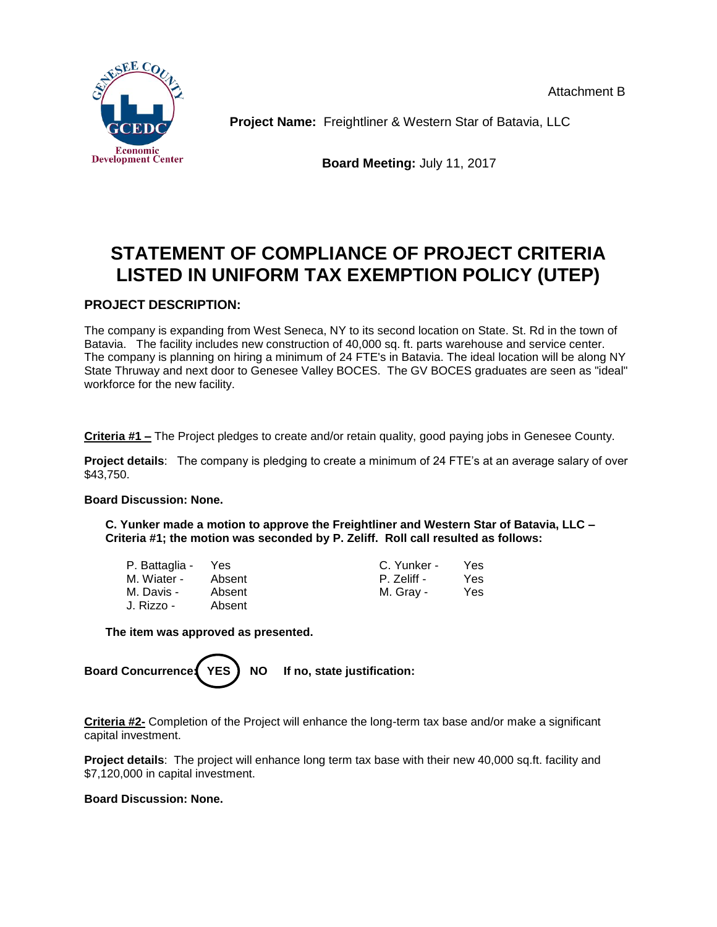Attachment B



**Project Name:** Freightliner & Western Star of Batavia, LLC

**Board Meeting:** July 11, 2017

# **STATEMENT OF COMPLIANCE OF PROJECT CRITERIA LISTED IN UNIFORM TAX EXEMPTION POLICY (UTEP)**

# **PROJECT DESCRIPTION:**

The company is expanding from West Seneca, NY to its second location on State. St. Rd in the town of Batavia. The facility includes new construction of 40,000 sq. ft. parts warehouse and service center. The company is planning on hiring a minimum of 24 FTE's in Batavia. The ideal location will be along NY State Thruway and next door to Genesee Valley BOCES. The GV BOCES graduates are seen as "ideal" workforce for the new facility.

**Criteria #1 –** The Project pledges to create and/or retain quality, good paying jobs in Genesee County.

**Project details**: The company is pledging to create a minimum of 24 FTE's at an average salary of over \$43,750.

# **Board Discussion: None.**

**C. Yunker made a motion to approve the Freightliner and Western Star of Batavia, LLC – Criteria #1; the motion was seconded by P. Zeliff. Roll call resulted as follows:**

| P. Battaglia - | Yes    |
|----------------|--------|
| M. Wiater -    | Absent |
| M. Davis -     | Absent |
| J. Rizzo -     | Absent |

C. Yunker - Yes nt **P. Zeliff - Yes** nt M. Gray - Yes

**The item was approved as presented.**

Board Concurrence: **YES** NO If no, state justification:

**Criteria #2-** Completion of the Project will enhance the long-term tax base and/or make a significant capital investment.

**Project details**: The project will enhance long term tax base with their new 40,000 sq.ft. facility and \$7,120,000 in capital investment.

# **Board Discussion: None.**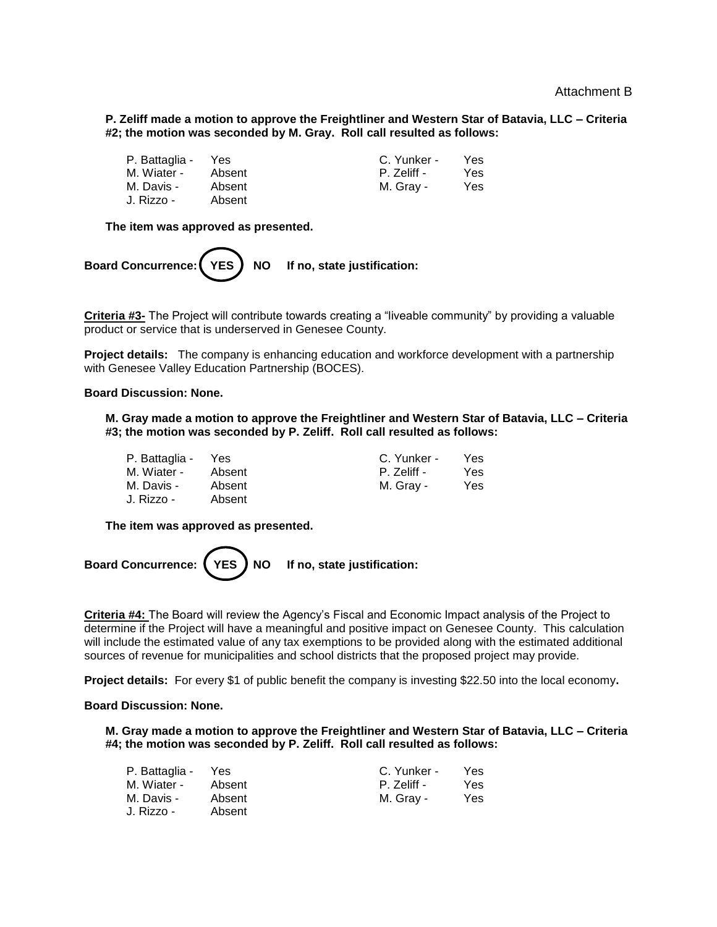**P. Zeliff made a motion to approve the Freightliner and Western Star of Batavia, LLC – Criteria #2; the motion was seconded by M. Gray. Roll call resulted as follows:**

| P. Battaglia - | Yes    | C. Yunker - | Yes |
|----------------|--------|-------------|-----|
| M. Wiater -    | Absent | P. Zeliff - | Yes |
| M. Davis -     | Absent | M. Gray -   | Yes |
| J. Rizzo -     | Absent |             |     |

**The item was approved as presented.**



**Criteria #3-** The Project will contribute towards creating a "liveable community" by providing a valuable product or service that is underserved in Genesee County.

**Project details:** The company is enhancing education and workforce development with a partnership with Genesee Valley Education Partnership (BOCES).

## **Board Discussion: None.**

**M. Gray made a motion to approve the Freightliner and Western Star of Batavia, LLC – Criteria #3; the motion was seconded by P. Zeliff. Roll call resulted as follows:**

> C. Yunker - Yes P. Zeliff - Yes M. Gray - Yes

| P. Battaglia - | Yes    |
|----------------|--------|
| M. Wiater -    | Absent |
| M. Davis -     | Absent |
| J. Rizzo -     | Absent |

**The item was approved as presented.**



**Criteria #4:** The Board will review the Agency's Fiscal and Economic Impact analysis of the Project to determine if the Project will have a meaningful and positive impact on Genesee County. This calculation will include the estimated value of any tax exemptions to be provided along with the estimated additional sources of revenue for municipalities and school districts that the proposed project may provide.

**Project details:** For every \$1 of public benefit the company is investing \$22.50 into the local economy**.**

#### **Board Discussion: None.**

**M. Gray made a motion to approve the Freightliner and Western Star of Batavia, LLC – Criteria #4; the motion was seconded by P. Zeliff. Roll call resulted as follows:**

| P. Battaglia - | Yes    | C. Yunker - | Yes |
|----------------|--------|-------------|-----|
| M. Wiater -    | Absent | P. Zeliff - | Yes |
| M. Davis -     | Absent | M. Gray -   | Yes |
| J. Rizzo -     | Absent |             |     |